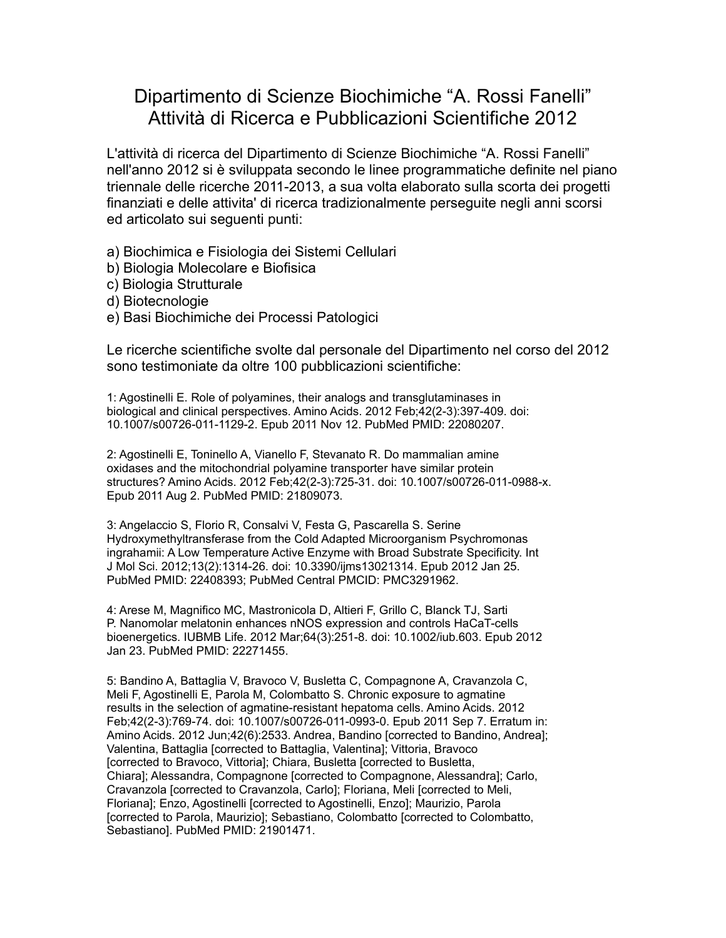## Dipartimento di Scienze Biochimiche "A. Rossi Fanelli" Attività di Ricerca e Pubblicazioni Scientifiche 2012

L'attività di ricerca del Dipartimento di Scienze Biochimiche "A. Rossi Fanelli" nell'anno 2012 si è sviluppata secondo le linee programmatiche definite nel piano triennale delle ricerche 2011-2013, a sua volta elaborato sulla scorta dei progetti finanziati e delle attivita' di ricerca tradizionalmente perseguite negli anni scorsi ed articolato sui seguenti punti:

a) Biochimica e Fisiologia dei Sistemi Cellulari

- b) Biologia Molecolare e Biofisica
- c) Biologia Strutturale
- d) Biotecnologie
- e) Basi Biochimiche dei Processi Patologici

Le ricerche scientifiche svolte dal personale del Dipartimento nel corso del 2012 sono testimoniate da oltre 100 pubblicazioni scientifiche:

1: Agostinelli E. Role of polyamines, their analogs and transglutaminases in biological and clinical perspectives. Amino Acids. 2012 Feb;42(2-3):397-409. doi: 10.1007/s00726-011-1129-2. Epub 2011 Nov 12. PubMed PMID: 22080207.

2: Agostinelli E, Toninello A, Vianello F, Stevanato R. Do mammalian amine oxidases and the mitochondrial polyamine transporter have similar protein structures? Amino Acids. 2012 Feb;42(2-3):725-31. doi: 10.1007/s00726-011-0988-x. Epub 2011 Aug 2. PubMed PMID: 21809073.

3: Angelaccio S, Florio R, Consalvi V, Festa G, Pascarella S. Serine Hydroxymethyltransferase from the Cold Adapted Microorganism Psychromonas ingrahamii: A Low Temperature Active Enzyme with Broad Substrate Specificity. Int J Mol Sci. 2012;13(2):1314-26. doi: 10.3390/ijms13021314. Epub 2012 Jan 25. PubMed PMID: 22408393; PubMed Central PMCID: PMC3291962.

4: Arese M, Magnifico MC, Mastronicola D, Altieri F, Grillo C, Blanck TJ, Sarti P. Nanomolar melatonin enhances nNOS expression and controls HaCaT-cells bioenergetics. IUBMB Life. 2012 Mar;64(3):251-8. doi: 10.1002/iub.603. Epub 2012 Jan 23. PubMed PMID: 22271455.

5: Bandino A, Battaglia V, Bravoco V, Busletta C, Compagnone A, Cravanzola C, Meli F, Agostinelli E, Parola M, Colombatto S. Chronic exposure to agmatine results in the selection of agmatine-resistant hepatoma cells. Amino Acids. 2012 Feb;42(2-3):769-74. doi: 10.1007/s00726-011-0993-0. Epub 2011 Sep 7. Erratum in: Amino Acids. 2012 Jun;42(6):2533. Andrea, Bandino [corrected to Bandino, Andrea]; Valentina, Battaglia [corrected to Battaglia, Valentina]; Vittoria, Bravoco [corrected to Bravoco, Vittoria]; Chiara, Busletta [corrected to Busletta, Chiara]; Alessandra, Compagnone [corrected to Compagnone, Alessandra]; Carlo, Cravanzola [corrected to Cravanzola, Carlo]; Floriana, Meli [corrected to Meli, Floriana]; Enzo, Agostinelli [corrected to Agostinelli, Enzo]; Maurizio, Parola [corrected to Parola, Maurizio]; Sebastiano, Colombatto [corrected to Colombatto, Sebastiano]. PubMed PMID: 21901471.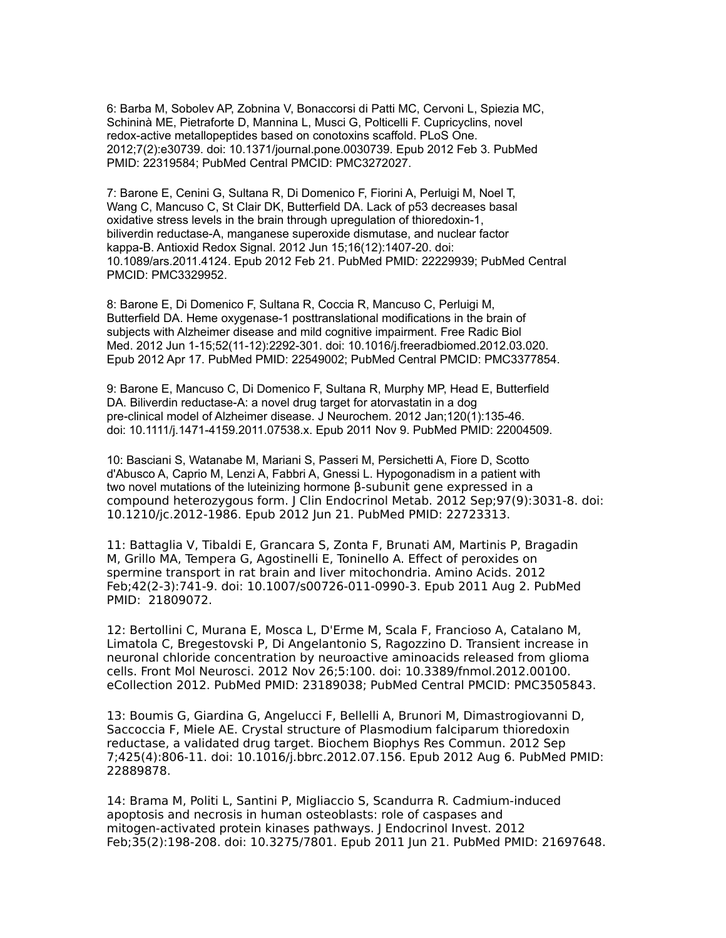6: Barba M, Sobolev AP, Zobnina V, Bonaccorsi di Patti MC, Cervoni L, Spiezia MC, Schininà ME, Pietraforte D, Mannina L, Musci G, Polticelli F. Cupricyclins, novel redox-active metallopeptides based on conotoxins scaffold. PLoS One. 2012;7(2):e30739. doi: 10.1371/journal.pone.0030739. Epub 2012 Feb 3. PubMed PMID: 22319584; PubMed Central PMCID: PMC3272027.

7: Barone E, Cenini G, Sultana R, Di Domenico F, Fiorini A, Perluigi M, Noel T, Wang C, Mancuso C, St Clair DK, Butterfield DA. Lack of p53 decreases basal oxidative stress levels in the brain through upregulation of thioredoxin-1, biliverdin reductase-A, manganese superoxide dismutase, and nuclear factor kappa-B. Antioxid Redox Signal. 2012 Jun 15;16(12):1407-20. doi: 10.1089/ars.2011.4124. Epub 2012 Feb 21. PubMed PMID: 22229939; PubMed Central PMCID: PMC3329952.

8: Barone E, Di Domenico F, Sultana R, Coccia R, Mancuso C, Perluigi M, Butterfield DA. Heme oxygenase-1 posttranslational modifications in the brain of subjects with Alzheimer disease and mild cognitive impairment. Free Radic Biol Med. 2012 Jun 1-15;52(11-12):2292-301. doi: 10.1016/j.freeradbiomed.2012.03.020. Epub 2012 Apr 17. PubMed PMID: 22549002; PubMed Central PMCID: PMC3377854.

9: Barone E, Mancuso C, Di Domenico F, Sultana R, Murphy MP, Head E, Butterfield DA. Biliverdin reductase-A: a novel drug target for atorvastatin in a dog pre-clinical model of Alzheimer disease. J Neurochem. 2012 Jan;120(1):135-46. doi: 10.1111/j.1471-4159.2011.07538.x. Epub 2011 Nov 9. PubMed PMID: 22004509.

10: Basciani S, Watanabe M, Mariani S, Passeri M, Persichetti A, Fiore D, Scotto d'Abusco A, Caprio M, Lenzi A, Fabbri A, Gnessi L. Hypogonadism in a patient with two novel mutations of the luteinizing hormone β-subunit gene expressed in a compound heterozygous form. J Clin Endocrinol Metab. 2012 Sep;97(9):3031-8. doi: 10.1210/jc.2012-1986. Epub 2012 Jun 21. PubMed PMID: 22723313.

11: Battaglia V, Tibaldi E, Grancara S, Zonta F, Brunati AM, Martinis P, Bragadin M, Grillo MA, Tempera G, Agostinelli E, Toninello A. Effect of peroxides on spermine transport in rat brain and liver mitochondria. Amino Acids. 2012 Feb;42(2-3):741-9. doi: 10.1007/s00726-011-0990-3. Epub 2011 Aug 2. PubMed PMID: 21809072.

12: Bertollini C, Murana E, Mosca L, D'Erme M, Scala F, Francioso A, Catalano M, Limatola C, Bregestovski P, Di Angelantonio S, Ragozzino D. Transient increase in neuronal chloride concentration by neuroactive aminoacids released from glioma cells. Front Mol Neurosci. 2012 Nov 26;5:100. doi: 10.3389/fnmol.2012.00100. eCollection 2012. PubMed PMID: 23189038; PubMed Central PMCID: PMC3505843.

13: Boumis G, Giardina G, Angelucci F, Bellelli A, Brunori M, Dimastrogiovanni D, Saccoccia F, Miele AE. Crystal structure of Plasmodium falciparum thioredoxin reductase, a validated drug target. Biochem Biophys Res Commun. 2012 Sep 7;425(4):806-11. doi: 10.1016/j.bbrc.2012.07.156. Epub 2012 Aug 6. PubMed PMID: 22889878.

14: Brama M, Politi L, Santini P, Migliaccio S, Scandurra R. Cadmium-induced apoptosis and necrosis in human osteoblasts: role of caspases and mitogen-activated protein kinases pathways. J Endocrinol Invest. 2012 Feb;35(2):198-208. doi: 10.3275/7801. Epub 2011 Jun 21. PubMed PMID: 21697648.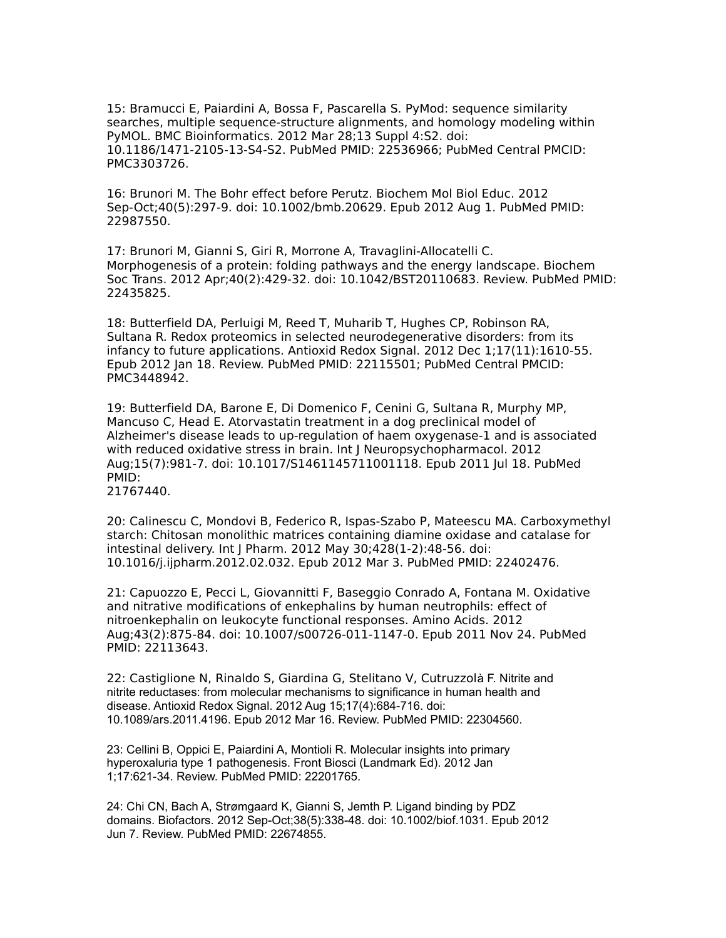15: Bramucci E, Paiardini A, Bossa F, Pascarella S. PyMod: sequence similarity searches, multiple sequence-structure alignments, and homology modeling within PyMOL. BMC Bioinformatics. 2012 Mar 28;13 Suppl 4:S2. doi: 10.1186/1471-2105-13-S4-S2. PubMed PMID: 22536966; PubMed Central PMCID: PMC3303726.

16: Brunori M. The Bohr effect before Perutz. Biochem Mol Biol Educ. 2012 Sep-Oct;40(5):297-9. doi: 10.1002/bmb.20629. Epub 2012 Aug 1. PubMed PMID: 22987550.

17: Brunori M, Gianni S, Giri R, Morrone A, Travaglini-Allocatelli C. Morphogenesis of a protein: folding pathways and the energy landscape. Biochem Soc Trans. 2012 Apr;40(2):429-32. doi: 10.1042/BST20110683. Review. PubMed PMID: 22435825.

18: Butterfield DA, Perluigi M, Reed T, Muharib T, Hughes CP, Robinson RA, Sultana R. Redox proteomics in selected neurodegenerative disorders: from its infancy to future applications. Antioxid Redox Signal. 2012 Dec 1;17(11):1610-55. Epub 2012 Jan 18. Review. PubMed PMID: 22115501; PubMed Central PMCID: PMC3448942.

19: Butterfield DA, Barone E, Di Domenico F, Cenini G, Sultana R, Murphy MP, Mancuso C, Head E. Atorvastatin treatment in a dog preclinical model of Alzheimer's disease leads to up-regulation of haem oxygenase-1 and is associated with reduced oxidative stress in brain. Int J Neuropsychopharmacol. 2012 Aug;15(7):981-7. doi: 10.1017/S1461145711001118. Epub 2011 Jul 18. PubMed PMID: 21767440.

20: Calinescu C, Mondovi B, Federico R, Ispas-Szabo P, Mateescu MA. Carboxymethyl starch: Chitosan monolithic matrices containing diamine oxidase and catalase for intestinal delivery. Int J Pharm. 2012 May 30;428(1-2):48-56. doi: 10.1016/j.ijpharm.2012.02.032. Epub 2012 Mar 3. PubMed PMID: 22402476.

21: Capuozzo E, Pecci L, Giovannitti F, Baseggio Conrado A, Fontana M. Oxidative and nitrative modifications of enkephalins by human neutrophils: effect of nitroenkephalin on leukocyte functional responses. Amino Acids. 2012 Aug;43(2):875-84. doi: 10.1007/s00726-011-1147-0. Epub 2011 Nov 24. PubMed PMID: 22113643.

22: Castiglione N, Rinaldo S, Giardina G, Stelitano V, Cutruzzolà F. Nitrite and nitrite reductases: from molecular mechanisms to significance in human health and disease. Antioxid Redox Signal. 2012 Aug 15;17(4):684-716. doi: 10.1089/ars.2011.4196. Epub 2012 Mar 16. Review. PubMed PMID: 22304560.

23: Cellini B, Oppici E, Paiardini A, Montioli R. Molecular insights into primary hyperoxaluria type 1 pathogenesis. Front Biosci (Landmark Ed). 2012 Jan 1;17:621-34. Review. PubMed PMID: 22201765.

24: Chi CN, Bach A, Strømgaard K, Gianni S, Jemth P. Ligand binding by PDZ domains. Biofactors. 2012 Sep-Oct;38(5):338-48. doi: 10.1002/biof.1031. Epub 2012 Jun 7. Review. PubMed PMID: 22674855.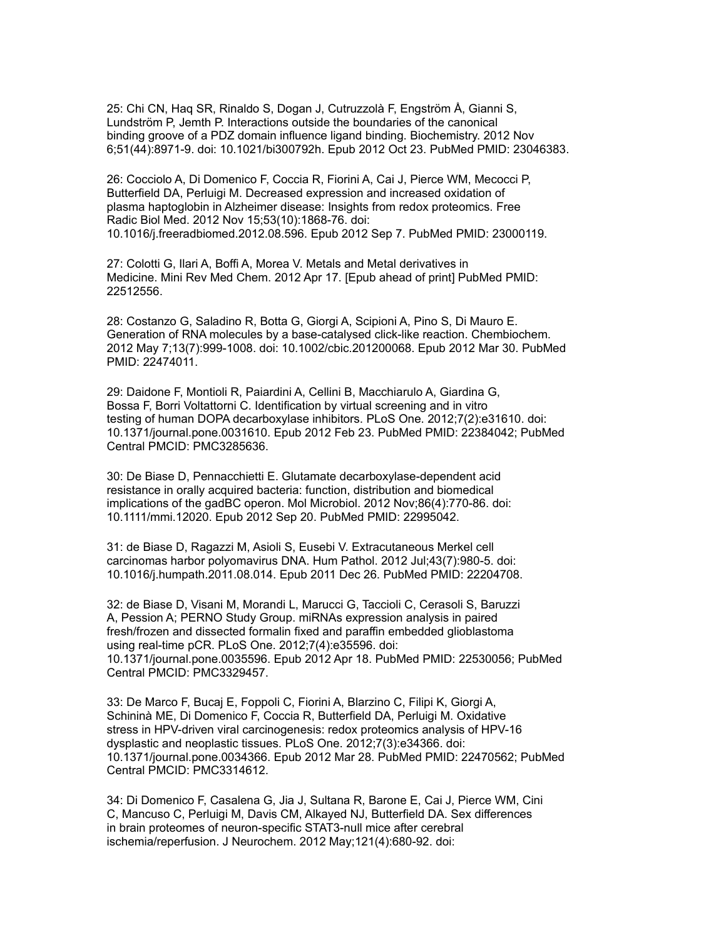25: Chi CN, Haq SR, Rinaldo S, Dogan J, Cutruzzolà F, Engström Å, Gianni S, Lundström P, Jemth P. Interactions outside the boundaries of the canonical binding groove of a PDZ domain influence ligand binding. Biochemistry. 2012 Nov 6;51(44):8971-9. doi: 10.1021/bi300792h. Epub 2012 Oct 23. PubMed PMID: 23046383.

26: Cocciolo A, Di Domenico F, Coccia R, Fiorini A, Cai J, Pierce WM, Mecocci P, Butterfield DA, Perluigi M. Decreased expression and increased oxidation of plasma haptoglobin in Alzheimer disease: Insights from redox proteomics. Free Radic Biol Med. 2012 Nov 15;53(10):1868-76. doi: 10.1016/j.freeradbiomed.2012.08.596. Epub 2012 Sep 7. PubMed PMID: 23000119.

27: Colotti G, Ilari A, Boffi A, Morea V. Metals and Metal derivatives in Medicine. Mini Rev Med Chem. 2012 Apr 17. [Epub ahead of print] PubMed PMID: 22512556.

28: Costanzo G, Saladino R, Botta G, Giorgi A, Scipioni A, Pino S, Di Mauro E. Generation of RNA molecules by a base-catalysed click-like reaction. Chembiochem. 2012 May 7;13(7):999-1008. doi: 10.1002/cbic.201200068. Epub 2012 Mar 30. PubMed PMID: 22474011.

29: Daidone F, Montioli R, Paiardini A, Cellini B, Macchiarulo A, Giardina G, Bossa F, Borri Voltattorni C. Identification by virtual screening and in vitro testing of human DOPA decarboxylase inhibitors. PLoS One. 2012;7(2):e31610. doi: 10.1371/journal.pone.0031610. Epub 2012 Feb 23. PubMed PMID: 22384042; PubMed Central PMCID: PMC3285636.

30: De Biase D, Pennacchietti E. Glutamate decarboxylase-dependent acid resistance in orally acquired bacteria: function, distribution and biomedical implications of the gadBC operon. Mol Microbiol. 2012 Nov;86(4):770-86. doi: 10.1111/mmi.12020. Epub 2012 Sep 20. PubMed PMID: 22995042.

31: de Biase D, Ragazzi M, Asioli S, Eusebi V. Extracutaneous Merkel cell carcinomas harbor polyomavirus DNA. Hum Pathol. 2012 Jul;43(7):980-5. doi: 10.1016/j.humpath.2011.08.014. Epub 2011 Dec 26. PubMed PMID: 22204708.

32: de Biase D, Visani M, Morandi L, Marucci G, Taccioli C, Cerasoli S, Baruzzi A, Pession A; PERNO Study Group. miRNAs expression analysis in paired fresh/frozen and dissected formalin fixed and paraffin embedded glioblastoma using real-time pCR. PLoS One. 2012;7(4):e35596. doi: 10.1371/journal.pone.0035596. Epub 2012 Apr 18. PubMed PMID: 22530056; PubMed Central PMCID: PMC3329457.

33: De Marco F, Bucaj E, Foppoli C, Fiorini A, Blarzino C, Filipi K, Giorgi A, Schininà ME, Di Domenico F, Coccia R, Butterfield DA, Perluigi M. Oxidative stress in HPV-driven viral carcinogenesis: redox proteomics analysis of HPV-16 dysplastic and neoplastic tissues. PLoS One. 2012;7(3):e34366. doi: 10.1371/journal.pone.0034366. Epub 2012 Mar 28. PubMed PMID: 22470562; PubMed Central PMCID: PMC3314612.

34: Di Domenico F, Casalena G, Jia J, Sultana R, Barone E, Cai J, Pierce WM, Cini C, Mancuso C, Perluigi M, Davis CM, Alkayed NJ, Butterfield DA. Sex differences in brain proteomes of neuron-specific STAT3-null mice after cerebral ischemia/reperfusion. J Neurochem. 2012 May;121(4):680-92. doi: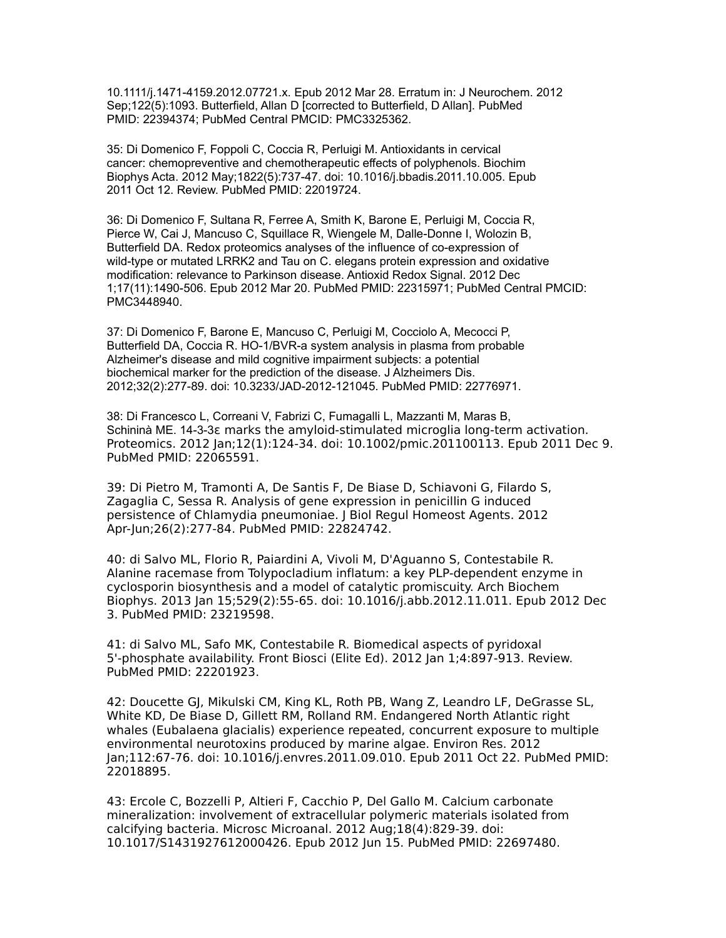10.1111/j.1471-4159.2012.07721.x. Epub 2012 Mar 28. Erratum in: J Neurochem. 2012 Sep;122(5):1093. Butterfield, Allan D [corrected to Butterfield, D Allan]. PubMed PMID: 22394374; PubMed Central PMCID: PMC3325362.

35: Di Domenico F, Foppoli C, Coccia R, Perluigi M. Antioxidants in cervical cancer: chemopreventive and chemotherapeutic effects of polyphenols. Biochim Biophys Acta. 2012 May;1822(5):737-47. doi: 10.1016/j.bbadis.2011.10.005. Epub 2011 Oct 12. Review. PubMed PMID: 22019724.

36: Di Domenico F, Sultana R, Ferree A, Smith K, Barone E, Perluigi M, Coccia R, Pierce W, Cai J, Mancuso C, Squillace R, Wiengele M, Dalle-Donne I, Wolozin B, Butterfield DA. Redox proteomics analyses of the influence of co-expression of wild-type or mutated LRRK2 and Tau on C. elegans protein expression and oxidative modification: relevance to Parkinson disease. Antioxid Redox Signal. 2012 Dec 1;17(11):1490-506. Epub 2012 Mar 20. PubMed PMID: 22315971; PubMed Central PMCID: PMC3448940.

37: Di Domenico F, Barone E, Mancuso C, Perluigi M, Cocciolo A, Mecocci P, Butterfield DA, Coccia R. HO-1/BVR-a system analysis in plasma from probable Alzheimer's disease and mild cognitive impairment subjects: a potential biochemical marker for the prediction of the disease. J Alzheimers Dis. 2012;32(2):277-89. doi: 10.3233/JAD-2012-121045. PubMed PMID: 22776971.

38: Di Francesco L, Correani V, Fabrizi C, Fumagalli L, Mazzanti M, Maras B, Schininà ME. 14-3-3ε marks the amyloid-stimulated microglia long-term activation. Proteomics. 2012 Jan;12(1):124-34. doi: 10.1002/pmic.201100113. Epub 2011 Dec 9. PubMed PMID: 22065591.

39: Di Pietro M, Tramonti A, De Santis F, De Biase D, Schiavoni G, Filardo S, Zagaglia C, Sessa R. Analysis of gene expression in penicillin G induced persistence of Chlamydia pneumoniae. J Biol Regul Homeost Agents. 2012 Apr-Jun;26(2):277-84. PubMed PMID: 22824742.

40: di Salvo ML, Florio R, Paiardini A, Vivoli M, D'Aguanno S, Contestabile R. Alanine racemase from Tolypocladium inflatum: a key PLP-dependent enzyme in cyclosporin biosynthesis and a model of catalytic promiscuity. Arch Biochem Biophys. 2013 Jan 15;529(2):55-65. doi: 10.1016/j.abb.2012.11.011. Epub 2012 Dec 3. PubMed PMID: 23219598.

41: di Salvo ML, Safo MK, Contestabile R. Biomedical aspects of pyridoxal 5'-phosphate availability. Front Biosci (Elite Ed). 2012 Jan 1;4:897-913. Review. PubMed PMID: 22201923.

42: Doucette GJ, Mikulski CM, King KL, Roth PB, Wang Z, Leandro LF, DeGrasse SL, White KD, De Biase D, Gillett RM, Rolland RM. Endangered North Atlantic right whales (Eubalaena glacialis) experience repeated, concurrent exposure to multiple environmental neurotoxins produced by marine algae. Environ Res. 2012 Jan;112:67-76. doi: 10.1016/j.envres.2011.09.010. Epub 2011 Oct 22. PubMed PMID: 22018895.

43: Ercole C, Bozzelli P, Altieri F, Cacchio P, Del Gallo M. Calcium carbonate mineralization: involvement of extracellular polymeric materials isolated from calcifying bacteria. Microsc Microanal. 2012 Aug;18(4):829-39. doi: 10.1017/S1431927612000426. Epub 2012 Jun 15. PubMed PMID: 22697480.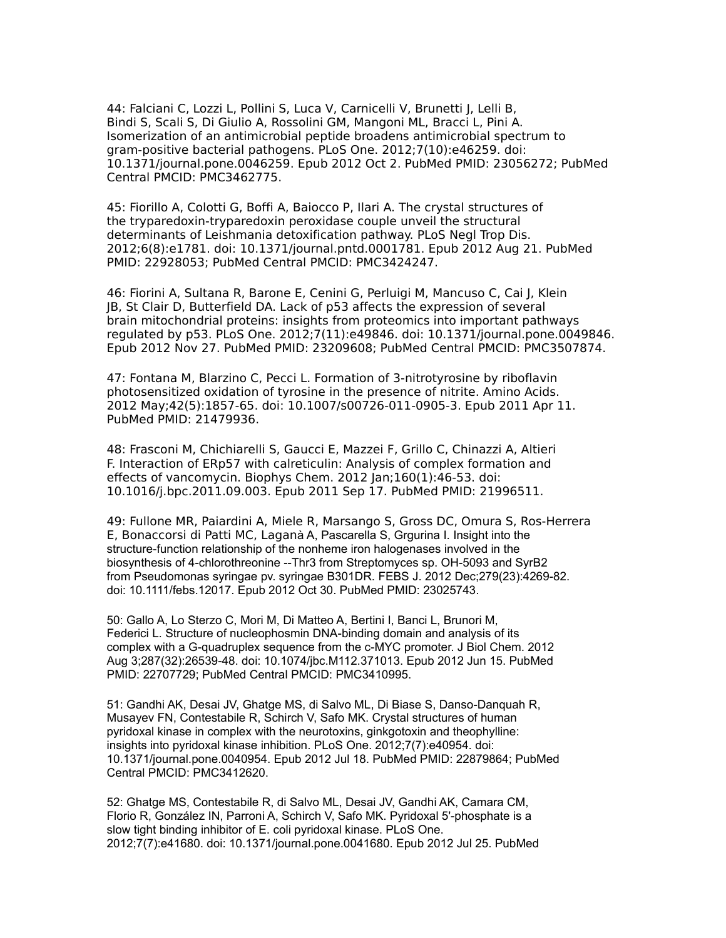44: Falciani C, Lozzi L, Pollini S, Luca V, Carnicelli V, Brunetti J, Lelli B, Bindi S, Scali S, Di Giulio A, Rossolini GM, Mangoni ML, Bracci L, Pini A. Isomerization of an antimicrobial peptide broadens antimicrobial spectrum to gram-positive bacterial pathogens. PLoS One. 2012;7(10):e46259. doi: 10.1371/journal.pone.0046259. Epub 2012 Oct 2. PubMed PMID: 23056272; PubMed Central PMCID: PMC3462775.

45: Fiorillo A, Colotti G, Boffi A, Baiocco P, Ilari A. The crystal structures of the tryparedoxin-tryparedoxin peroxidase couple unveil the structural determinants of Leishmania detoxification pathway. PLoS Negl Trop Dis. 2012;6(8):e1781. doi: 10.1371/journal.pntd.0001781. Epub 2012 Aug 21. PubMed PMID: 22928053; PubMed Central PMCID: PMC3424247.

46: Fiorini A, Sultana R, Barone E, Cenini G, Perluigi M, Mancuso C, Cai J, Klein JB, St Clair D, Butterfield DA. Lack of p53 affects the expression of several brain mitochondrial proteins: insights from proteomics into important pathways regulated by p53. PLoS One. 2012;7(11):e49846. doi: 10.1371/journal.pone.0049846. Epub 2012 Nov 27. PubMed PMID: 23209608; PubMed Central PMCID: PMC3507874.

47: Fontana M, Blarzino C, Pecci L. Formation of 3-nitrotyrosine by riboflavin photosensitized oxidation of tyrosine in the presence of nitrite. Amino Acids. 2012 May;42(5):1857-65. doi: 10.1007/s00726-011-0905-3. Epub 2011 Apr 11. PubMed PMID: 21479936.

48: Frasconi M, Chichiarelli S, Gaucci E, Mazzei F, Grillo C, Chinazzi A, Altieri F. Interaction of ERp57 with calreticulin: Analysis of complex formation and effects of vancomycin. Biophys Chem. 2012 Jan;160(1):46-53. doi: 10.1016/j.bpc.2011.09.003. Epub 2011 Sep 17. PubMed PMID: 21996511.

49: Fullone MR, Paiardini A, Miele R, Marsango S, Gross DC, Omura S, Ros-Herrera E, Bonaccorsi di Patti MC, Laganà A, Pascarella S, Grgurina I. Insight into the structure-function relationship of the nonheme iron halogenases involved in the biosynthesis of 4-chlorothreonine --Thr3 from Streptomyces sp. OH-5093 and SyrB2 from Pseudomonas syringae pv. syringae B301DR. FEBS J. 2012 Dec;279(23):4269-82. doi: 10.1111/febs.12017. Epub 2012 Oct 30. PubMed PMID: 23025743.

50: Gallo A, Lo Sterzo C, Mori M, Di Matteo A, Bertini I, Banci L, Brunori M, Federici L. Structure of nucleophosmin DNA-binding domain and analysis of its complex with a G-quadruplex sequence from the c-MYC promoter. J Biol Chem. 2012 Aug 3;287(32):26539-48. doi: 10.1074/jbc.M112.371013. Epub 2012 Jun 15. PubMed PMID: 22707729; PubMed Central PMCID: PMC3410995.

51: Gandhi AK, Desai JV, Ghatge MS, di Salvo ML, Di Biase S, Danso-Danquah R, Musayev FN, Contestabile R, Schirch V, Safo MK. Crystal structures of human pyridoxal kinase in complex with the neurotoxins, ginkgotoxin and theophylline: insights into pyridoxal kinase inhibition. PLoS One. 2012;7(7):e40954. doi: 10.1371/journal.pone.0040954. Epub 2012 Jul 18. PubMed PMID: 22879864; PubMed Central PMCID: PMC3412620.

52: Ghatge MS, Contestabile R, di Salvo ML, Desai JV, Gandhi AK, Camara CM, Florio R, González IN, Parroni A, Schirch V, Safo MK. Pyridoxal 5'-phosphate is a slow tight binding inhibitor of E. coli pyridoxal kinase. PLoS One. 2012;7(7):e41680. doi: 10.1371/journal.pone.0041680. Epub 2012 Jul 25. PubMed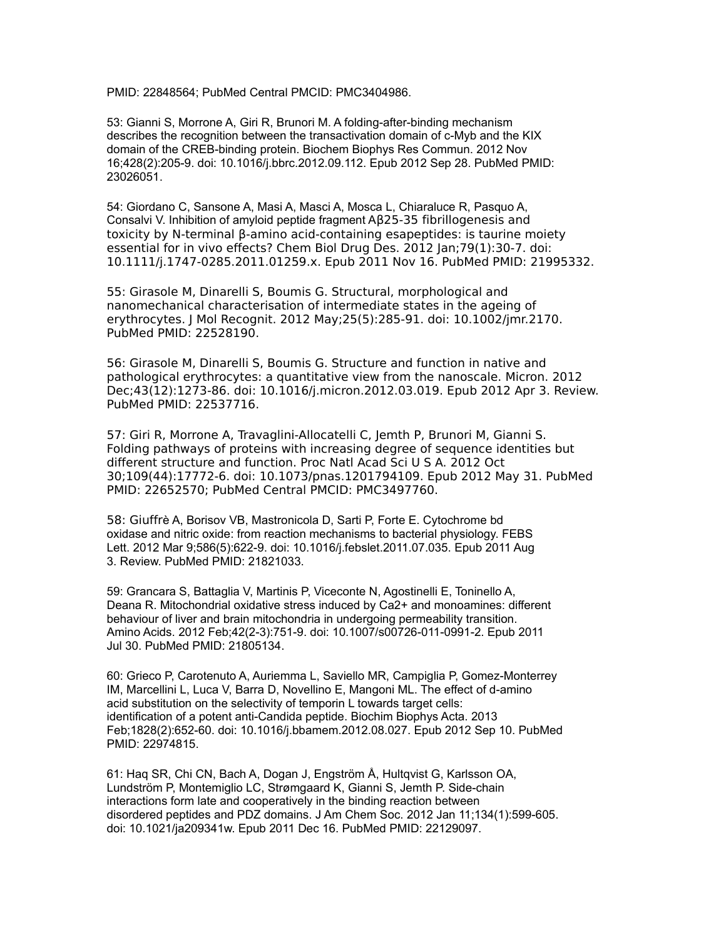PMID: 22848564; PubMed Central PMCID: PMC3404986.

53: Gianni S, Morrone A, Giri R, Brunori M. A folding-after-binding mechanism describes the recognition between the transactivation domain of c-Myb and the KIX domain of the CREB-binding protein. Biochem Biophys Res Commun. 2012 Nov 16;428(2):205-9. doi: 10.1016/j.bbrc.2012.09.112. Epub 2012 Sep 28. PubMed PMID: 23026051.

54: Giordano C, Sansone A, Masi A, Masci A, Mosca L, Chiaraluce R, Pasquo A, Consalvi V. Inhibition of amyloid peptide fragment Aβ25-35 fibrillogenesis and toxicity by N-terminal β-amino acid-containing esapeptides: is taurine moiety essential for in vivo effects? Chem Biol Drug Des. 2012 Jan;79(1):30-7. doi: 10.1111/j.1747-0285.2011.01259.x. Epub 2011 Nov 16. PubMed PMID: 21995332.

55: Girasole M, Dinarelli S, Boumis G. Structural, morphological and nanomechanical characterisation of intermediate states in the ageing of erythrocytes. J Mol Recognit. 2012 May;25(5):285-91. doi: 10.1002/jmr.2170. PubMed PMID: 22528190.

56: Girasole M, Dinarelli S, Boumis G. Structure and function in native and pathological erythrocytes: a quantitative view from the nanoscale. Micron. 2012 Dec;43(12):1273-86. doi: 10.1016/j.micron.2012.03.019. Epub 2012 Apr 3. Review. PubMed PMID: 22537716.

57: Giri R, Morrone A, Travaglini-Allocatelli C, Jemth P, Brunori M, Gianni S. Folding pathways of proteins with increasing degree of sequence identities but different structure and function. Proc Natl Acad Sci U S A. 2012 Oct 30;109(44):17772-6. doi: 10.1073/pnas.1201794109. Epub 2012 May 31. PubMed PMID: 22652570; PubMed Central PMCID: PMC3497760.

58: Giuffrè A, Borisov VB, Mastronicola D, Sarti P, Forte E. Cytochrome bd oxidase and nitric oxide: from reaction mechanisms to bacterial physiology. FEBS Lett. 2012 Mar 9;586(5):622-9. doi: 10.1016/j.febslet.2011.07.035. Epub 2011 Aug 3. Review. PubMed PMID: 21821033.

59: Grancara S, Battaglia V, Martinis P, Viceconte N, Agostinelli E, Toninello A, Deana R. Mitochondrial oxidative stress induced by Ca2+ and monoamines: different behaviour of liver and brain mitochondria in undergoing permeability transition. Amino Acids. 2012 Feb;42(2-3):751-9. doi: 10.1007/s00726-011-0991-2. Epub 2011 Jul 30. PubMed PMID: 21805134.

60: Grieco P, Carotenuto A, Auriemma L, Saviello MR, Campiglia P, Gomez-Monterrey IM, Marcellini L, Luca V, Barra D, Novellino E, Mangoni ML. The effect of d-amino acid substitution on the selectivity of temporin L towards target cells: identification of a potent anti-Candida peptide. Biochim Biophys Acta. 2013 Feb;1828(2):652-60. doi: 10.1016/j.bbamem.2012.08.027. Epub 2012 Sep 10. PubMed PMID: 22974815.

61: Haq SR, Chi CN, Bach A, Dogan J, Engström Å, Hultqvist G, Karlsson OA, Lundström P, Montemiglio LC, Strømgaard K, Gianni S, Jemth P. Side-chain interactions form late and cooperatively in the binding reaction between disordered peptides and PDZ domains. J Am Chem Soc. 2012 Jan 11;134(1):599-605. doi: 10.1021/ja209341w. Epub 2011 Dec 16. PubMed PMID: 22129097.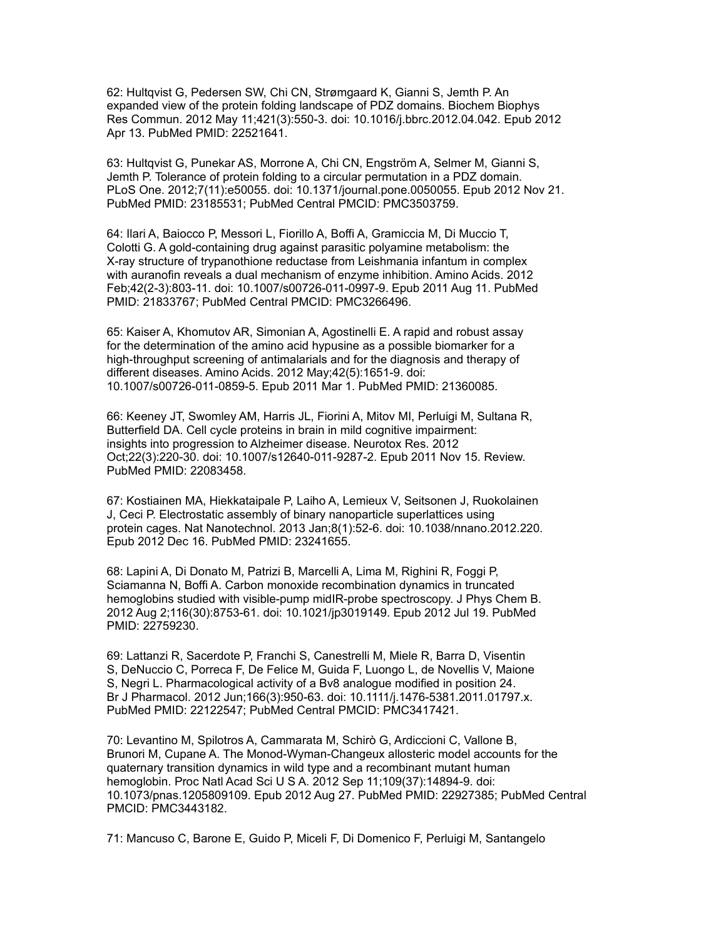62: Hultqvist G, Pedersen SW, Chi CN, Strømgaard K, Gianni S, Jemth P. An expanded view of the protein folding landscape of PDZ domains. Biochem Biophys Res Commun. 2012 May 11;421(3):550-3. doi: 10.1016/j.bbrc.2012.04.042. Epub 2012 Apr 13. PubMed PMID: 22521641.

63: Hultqvist G, Punekar AS, Morrone A, Chi CN, Engström A, Selmer M, Gianni S, Jemth P. Tolerance of protein folding to a circular permutation in a PDZ domain. PLoS One. 2012;7(11):e50055. doi: 10.1371/journal.pone.0050055. Epub 2012 Nov 21. PubMed PMID: 23185531; PubMed Central PMCID: PMC3503759.

64: Ilari A, Baiocco P, Messori L, Fiorillo A, Boffi A, Gramiccia M, Di Muccio T, Colotti G. A gold-containing drug against parasitic polyamine metabolism: the X-ray structure of trypanothione reductase from Leishmania infantum in complex with auranofin reveals a dual mechanism of enzyme inhibition. Amino Acids. 2012 Feb;42(2-3):803-11. doi: 10.1007/s00726-011-0997-9. Epub 2011 Aug 11. PubMed PMID: 21833767; PubMed Central PMCID: PMC3266496.

65: Kaiser A, Khomutov AR, Simonian A, Agostinelli E. A rapid and robust assay for the determination of the amino acid hypusine as a possible biomarker for a high-throughput screening of antimalarials and for the diagnosis and therapy of different diseases. Amino Acids. 2012 May;42(5):1651-9. doi: 10.1007/s00726-011-0859-5. Epub 2011 Mar 1. PubMed PMID: 21360085.

66: Keeney JT, Swomley AM, Harris JL, Fiorini A, Mitov MI, Perluigi M, Sultana R, Butterfield DA. Cell cycle proteins in brain in mild cognitive impairment: insights into progression to Alzheimer disease. Neurotox Res. 2012 Oct;22(3):220-30. doi: 10.1007/s12640-011-9287-2. Epub 2011 Nov 15. Review. PubMed PMID: 22083458.

67: Kostiainen MA, Hiekkataipale P, Laiho A, Lemieux V, Seitsonen J, Ruokolainen J, Ceci P. Electrostatic assembly of binary nanoparticle superlattices using protein cages. Nat Nanotechnol. 2013 Jan;8(1):52-6. doi: 10.1038/nnano.2012.220. Epub 2012 Dec 16. PubMed PMID: 23241655.

68: Lapini A, Di Donato M, Patrizi B, Marcelli A, Lima M, Righini R, Foggi P, Sciamanna N, Boffi A. Carbon monoxide recombination dynamics in truncated hemoglobins studied with visible-pump midIR-probe spectroscopy. J Phys Chem B. 2012 Aug 2;116(30):8753-61. doi: 10.1021/jp3019149. Epub 2012 Jul 19. PubMed PMID: 22759230.

69: Lattanzi R, Sacerdote P, Franchi S, Canestrelli M, Miele R, Barra D, Visentin S, DeNuccio C, Porreca F, De Felice M, Guida F, Luongo L, de Novellis V, Maione S, Negri L. Pharmacological activity of a Bv8 analogue modified in position 24. Br J Pharmacol. 2012 Jun;166(3):950-63. doi: 10.1111/j.1476-5381.2011.01797.x. PubMed PMID: 22122547; PubMed Central PMCID: PMC3417421.

70: Levantino M, Spilotros A, Cammarata M, Schirò G, Ardiccioni C, Vallone B, Brunori M, Cupane A. The Monod-Wyman-Changeux allosteric model accounts for the quaternary transition dynamics in wild type and a recombinant mutant human hemoglobin. Proc Natl Acad Sci U S A. 2012 Sep 11;109(37):14894-9. doi: 10.1073/pnas.1205809109. Epub 2012 Aug 27. PubMed PMID: 22927385; PubMed Central PMCID: PMC3443182.

71: Mancuso C, Barone E, Guido P, Miceli F, Di Domenico F, Perluigi M, Santangelo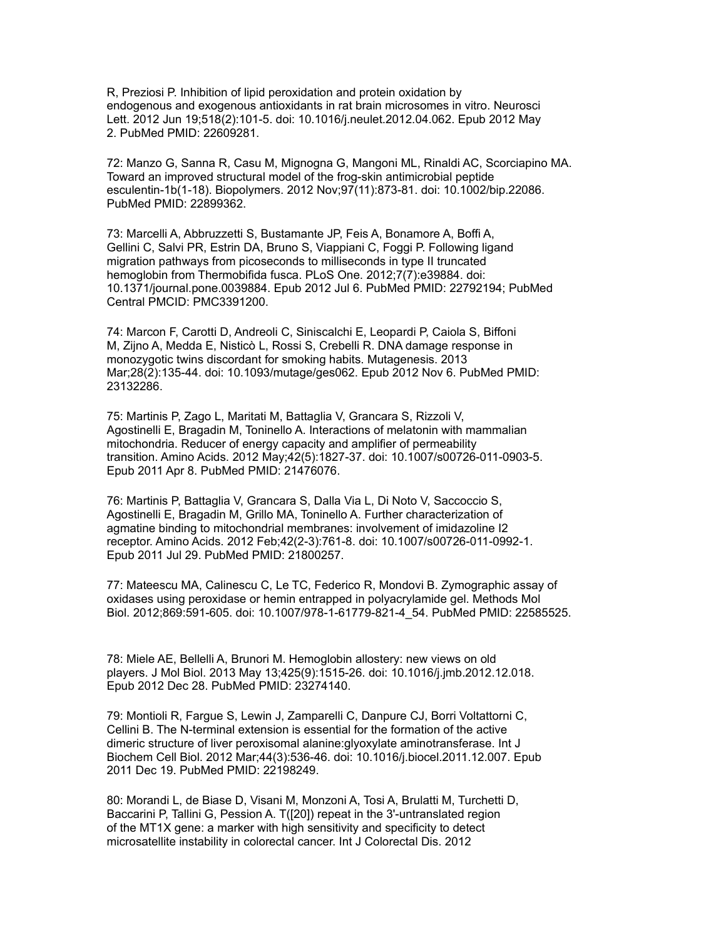R, Preziosi P. Inhibition of lipid peroxidation and protein oxidation by endogenous and exogenous antioxidants in rat brain microsomes in vitro. Neurosci Lett. 2012 Jun 19;518(2):101-5. doi: 10.1016/j.neulet.2012.04.062. Epub 2012 May 2. PubMed PMID: 22609281.

72: Manzo G, Sanna R, Casu M, Mignogna G, Mangoni ML, Rinaldi AC, Scorciapino MA. Toward an improved structural model of the frog-skin antimicrobial peptide esculentin-1b(1-18). Biopolymers. 2012 Nov;97(11):873-81. doi: 10.1002/bip.22086. PubMed PMID: 22899362.

73: Marcelli A, Abbruzzetti S, Bustamante JP, Feis A, Bonamore A, Boffi A, Gellini C, Salvi PR, Estrin DA, Bruno S, Viappiani C, Foggi P. Following ligand migration pathways from picoseconds to milliseconds in type II truncated hemoglobin from Thermobifida fusca. PLoS One. 2012;7(7):e39884. doi: 10.1371/journal.pone.0039884. Epub 2012 Jul 6. PubMed PMID: 22792194; PubMed Central PMCID: PMC3391200.

74: Marcon F, Carotti D, Andreoli C, Siniscalchi E, Leopardi P, Caiola S, Biffoni M, Zijno A, Medda E, Nisticò L, Rossi S, Crebelli R. DNA damage response in monozygotic twins discordant for smoking habits. Mutagenesis. 2013 Mar;28(2):135-44. doi: 10.1093/mutage/ges062. Epub 2012 Nov 6. PubMed PMID: 23132286.

75: Martinis P, Zago L, Maritati M, Battaglia V, Grancara S, Rizzoli V, Agostinelli E, Bragadin M, Toninello A. Interactions of melatonin with mammalian mitochondria. Reducer of energy capacity and amplifier of permeability transition. Amino Acids. 2012 May;42(5):1827-37. doi: 10.1007/s00726-011-0903-5. Epub 2011 Apr 8. PubMed PMID: 21476076.

76: Martinis P, Battaglia V, Grancara S, Dalla Via L, Di Noto V, Saccoccio S, Agostinelli E, Bragadin M, Grillo MA, Toninello A. Further characterization of agmatine binding to mitochondrial membranes: involvement of imidazoline I2 receptor. Amino Acids. 2012 Feb;42(2-3):761-8. doi: 10.1007/s00726-011-0992-1. Epub 2011 Jul 29. PubMed PMID: 21800257.

77: Mateescu MA, Calinescu C, Le TC, Federico R, Mondovi B. Zymographic assay of oxidases using peroxidase or hemin entrapped in polyacrylamide gel. Methods Mol Biol. 2012;869:591-605. doi: 10.1007/978-1-61779-821-4\_54. PubMed PMID: 22585525.

78: Miele AE, Bellelli A, Brunori M. Hemoglobin allostery: new views on old players. J Mol Biol. 2013 May 13;425(9):1515-26. doi: 10.1016/j.jmb.2012.12.018. Epub 2012 Dec 28. PubMed PMID: 23274140.

79: Montioli R, Fargue S, Lewin J, Zamparelli C, Danpure CJ, Borri Voltattorni C, Cellini B. The N-terminal extension is essential for the formation of the active dimeric structure of liver peroxisomal alanine:glyoxylate aminotransferase. Int J Biochem Cell Biol. 2012 Mar;44(3):536-46. doi: 10.1016/j.biocel.2011.12.007. Epub 2011 Dec 19. PubMed PMID: 22198249.

80: Morandi L, de Biase D, Visani M, Monzoni A, Tosi A, Brulatti M, Turchetti D, Baccarini P, Tallini G, Pession A. T([20]) repeat in the 3'-untranslated region of the MT1X gene: a marker with high sensitivity and specificity to detect microsatellite instability in colorectal cancer. Int J Colorectal Dis. 2012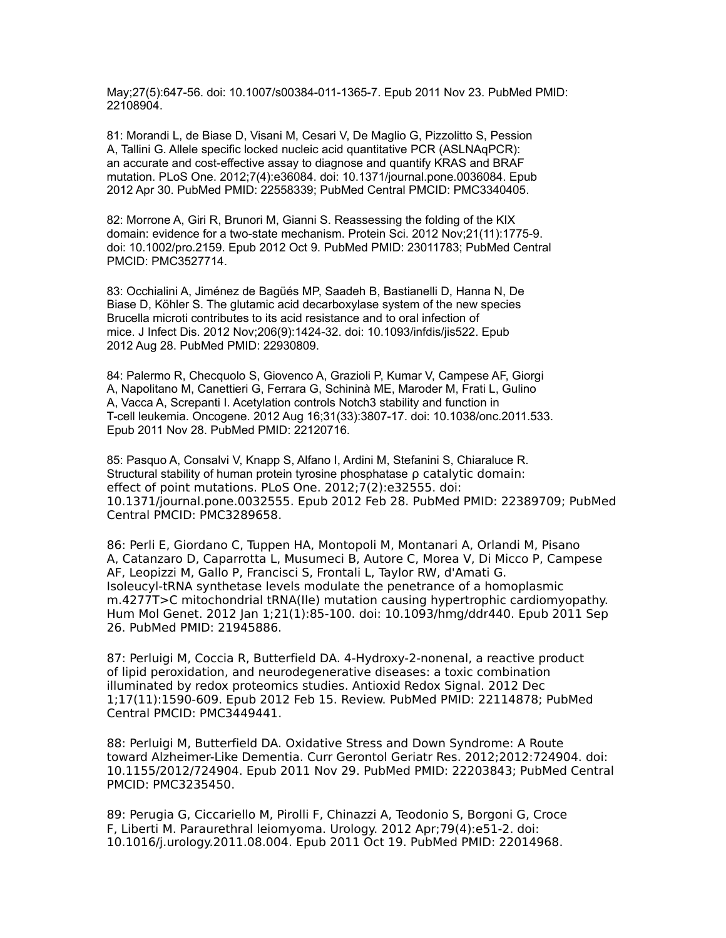May;27(5):647-56. doi: 10.1007/s00384-011-1365-7. Epub 2011 Nov 23. PubMed PMID: 22108904.

81: Morandi L, de Biase D, Visani M, Cesari V, De Maglio G, Pizzolitto S, Pession A, Tallini G. Allele specific locked nucleic acid quantitative PCR (ASLNAqPCR): an accurate and cost-effective assay to diagnose and quantify KRAS and BRAF mutation. PLoS One. 2012;7(4):e36084. doi: 10.1371/journal.pone.0036084. Epub 2012 Apr 30. PubMed PMID: 22558339; PubMed Central PMCID: PMC3340405.

82: Morrone A, Giri R, Brunori M, Gianni S. Reassessing the folding of the KIX domain: evidence for a two-state mechanism. Protein Sci. 2012 Nov;21(11):1775-9. doi: 10.1002/pro.2159. Epub 2012 Oct 9. PubMed PMID: 23011783; PubMed Central PMCID: PMC3527714.

83: Occhialini A, Jiménez de Bagüés MP, Saadeh B, Bastianelli D, Hanna N, De Biase D, Köhler S. The glutamic acid decarboxylase system of the new species Brucella microti contributes to its acid resistance and to oral infection of mice. J Infect Dis. 2012 Nov;206(9):1424-32. doi: 10.1093/infdis/jis522. Epub 2012 Aug 28. PubMed PMID: 22930809.

84: Palermo R, Checquolo S, Giovenco A, Grazioli P, Kumar V, Campese AF, Giorgi A, Napolitano M, Canettieri G, Ferrara G, Schininà ME, Maroder M, Frati L, Gulino A, Vacca A, Screpanti I. Acetylation controls Notch3 stability and function in T-cell leukemia. Oncogene. 2012 Aug 16;31(33):3807-17. doi: 10.1038/onc.2011.533. Epub 2011 Nov 28. PubMed PMID: 22120716.

85: Pasquo A, Consalvi V, Knapp S, Alfano I, Ardini M, Stefanini S, Chiaraluce R. Structural stability of human protein tyrosine phosphatase ρ catalytic domain: effect of point mutations. PLoS One. 2012;7(2):e32555. doi: 10.1371/journal.pone.0032555. Epub 2012 Feb 28. PubMed PMID: 22389709; PubMed Central PMCID: PMC3289658.

86: Perli E, Giordano C, Tuppen HA, Montopoli M, Montanari A, Orlandi M, Pisano A, Catanzaro D, Caparrotta L, Musumeci B, Autore C, Morea V, Di Micco P, Campese AF, Leopizzi M, Gallo P, Francisci S, Frontali L, Taylor RW, d'Amati G. Isoleucyl-tRNA synthetase levels modulate the penetrance of a homoplasmic m.4277T>C mitochondrial tRNA(Ile) mutation causing hypertrophic cardiomyopathy. Hum Mol Genet. 2012 Jan 1;21(1):85-100. doi: 10.1093/hmg/ddr440. Epub 2011 Sep 26. PubMed PMID: 21945886.

87: Perluigi M, Coccia R, Butterfield DA. 4-Hydroxy-2-nonenal, a reactive product of lipid peroxidation, and neurodegenerative diseases: a toxic combination illuminated by redox proteomics studies. Antioxid Redox Signal. 2012 Dec 1;17(11):1590-609. Epub 2012 Feb 15. Review. PubMed PMID: 22114878; PubMed Central PMCID: PMC3449441.

88: Perluigi M, Butterfield DA. Oxidative Stress and Down Syndrome: A Route toward Alzheimer-Like Dementia. Curr Gerontol Geriatr Res. 2012;2012:724904. doi: 10.1155/2012/724904. Epub 2011 Nov 29. PubMed PMID: 22203843; PubMed Central PMCID: PMC3235450.

89: Perugia G, Ciccariello M, Pirolli F, Chinazzi A, Teodonio S, Borgoni G, Croce F, Liberti M. Paraurethral leiomyoma. Urology. 2012 Apr;79(4):e51-2. doi: 10.1016/j.urology.2011.08.004. Epub 2011 Oct 19. PubMed PMID: 22014968.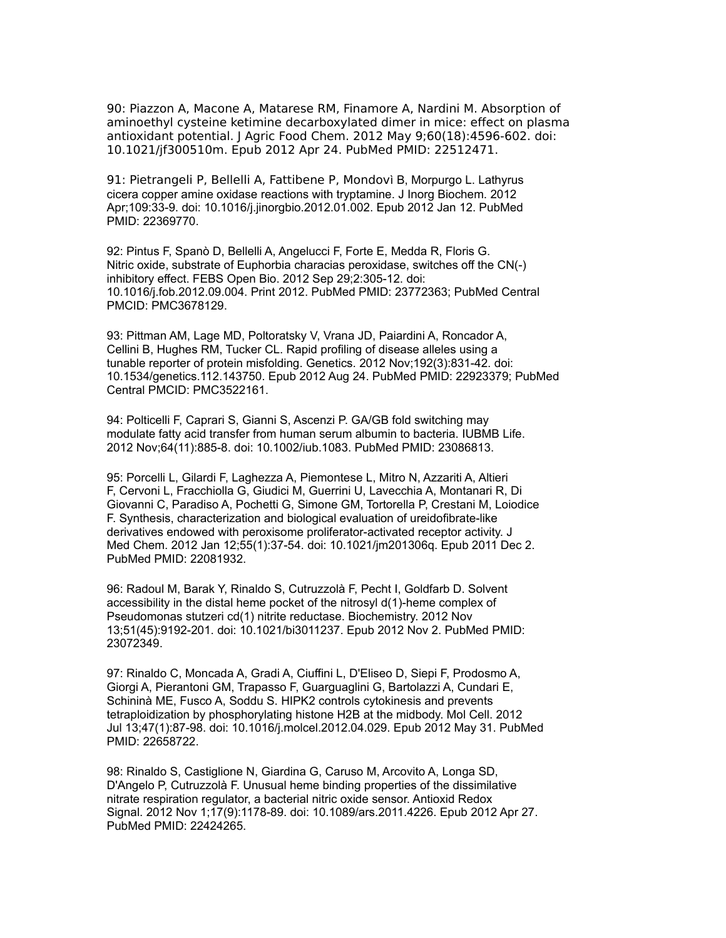90: Piazzon A, Macone A, Matarese RM, Finamore A, Nardini M. Absorption of aminoethyl cysteine ketimine decarboxylated dimer in mice: effect on plasma antioxidant potential. J Agric Food Chem. 2012 May 9;60(18):4596-602. doi: 10.1021/jf300510m. Epub 2012 Apr 24. PubMed PMID: 22512471.

91: Pietrangeli P, Bellelli A, Fattibene P, Mondovì B, Morpurgo L. Lathyrus cicera copper amine oxidase reactions with tryptamine. J Inorg Biochem. 2012 Apr;109:33-9. doi: 10.1016/j.jinorgbio.2012.01.002. Epub 2012 Jan 12. PubMed PMID: 22369770.

92: Pintus F, Spanò D, Bellelli A, Angelucci F, Forte E, Medda R, Floris G. Nitric oxide, substrate of Euphorbia characias peroxidase, switches off the CN(-) inhibitory effect. FEBS Open Bio. 2012 Sep 29;2:305-12. doi: 10.1016/j.fob.2012.09.004. Print 2012. PubMed PMID: 23772363; PubMed Central PMCID: PMC3678129.

93: Pittman AM, Lage MD, Poltoratsky V, Vrana JD, Paiardini A, Roncador A, Cellini B, Hughes RM, Tucker CL. Rapid profiling of disease alleles using a tunable reporter of protein misfolding. Genetics. 2012 Nov;192(3):831-42. doi: 10.1534/genetics.112.143750. Epub 2012 Aug 24. PubMed PMID: 22923379; PubMed Central PMCID: PMC3522161.

94: Polticelli F, Caprari S, Gianni S, Ascenzi P. GA/GB fold switching may modulate fatty acid transfer from human serum albumin to bacteria. IUBMB Life. 2012 Nov;64(11):885-8. doi: 10.1002/iub.1083. PubMed PMID: 23086813.

95: Porcelli L, Gilardi F, Laghezza A, Piemontese L, Mitro N, Azzariti A, Altieri F, Cervoni L, Fracchiolla G, Giudici M, Guerrini U, Lavecchia A, Montanari R, Di Giovanni C, Paradiso A, Pochetti G, Simone GM, Tortorella P, Crestani M, Loiodice F. Synthesis, characterization and biological evaluation of ureidofibrate-like derivatives endowed with peroxisome proliferator-activated receptor activity. J Med Chem. 2012 Jan 12;55(1):37-54. doi: 10.1021/jm201306q. Epub 2011 Dec 2. PubMed PMID: 22081932.

96: Radoul M, Barak Y, Rinaldo S, Cutruzzolà F, Pecht I, Goldfarb D. Solvent accessibility in the distal heme pocket of the nitrosyl d(1)-heme complex of Pseudomonas stutzeri cd(1) nitrite reductase. Biochemistry. 2012 Nov 13;51(45):9192-201. doi: 10.1021/bi3011237. Epub 2012 Nov 2. PubMed PMID: 23072349.

97: Rinaldo C, Moncada A, Gradi A, Ciuffini L, D'Eliseo D, Siepi F, Prodosmo A, Giorgi A, Pierantoni GM, Trapasso F, Guarguaglini G, Bartolazzi A, Cundari E, Schininà ME, Fusco A, Soddu S. HIPK2 controls cytokinesis and prevents tetraploidization by phosphorylating histone H2B at the midbody. Mol Cell. 2012 Jul 13;47(1):87-98. doi: 10.1016/j.molcel.2012.04.029. Epub 2012 May 31. PubMed PMID: 22658722.

98: Rinaldo S, Castiglione N, Giardina G, Caruso M, Arcovito A, Longa SD, D'Angelo P, Cutruzzolà F. Unusual heme binding properties of the dissimilative nitrate respiration regulator, a bacterial nitric oxide sensor. Antioxid Redox Signal. 2012 Nov 1;17(9):1178-89. doi: 10.1089/ars.2011.4226. Epub 2012 Apr 27. PubMed PMID: 22424265.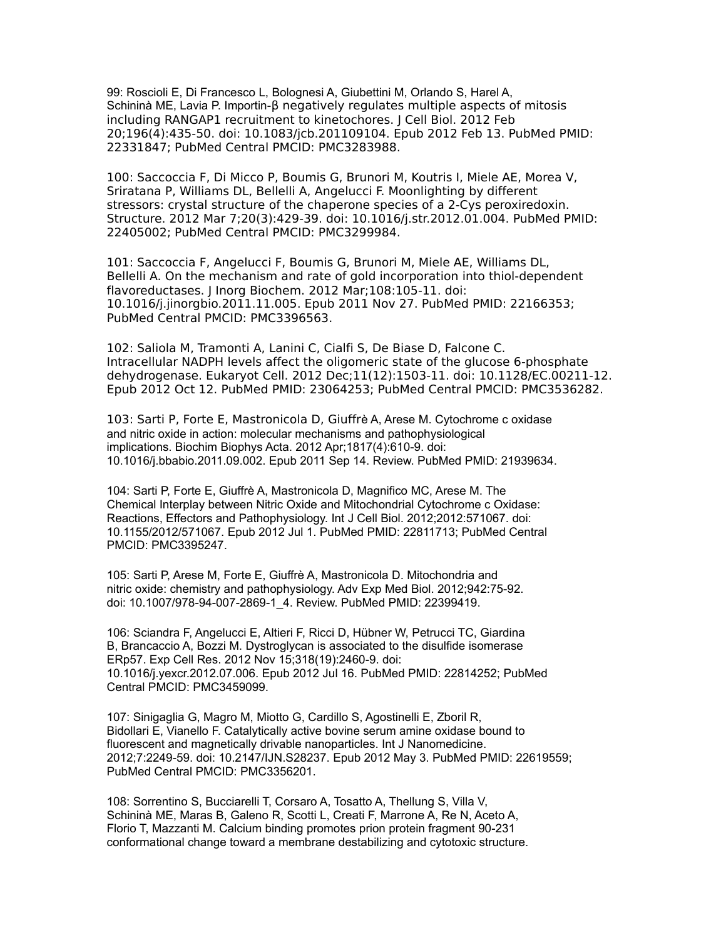99: Roscioli E, Di Francesco L, Bolognesi A, Giubettini M, Orlando S, Harel A, Schininà ME, Lavia P. Importin-β negatively regulates multiple aspects of mitosis including RANGAP1 recruitment to kinetochores. J Cell Biol. 2012 Feb 20;196(4):435-50. doi: 10.1083/jcb.201109104. Epub 2012 Feb 13. PubMed PMID: 22331847; PubMed Central PMCID: PMC3283988.

100: Saccoccia F, Di Micco P, Boumis G, Brunori M, Koutris I, Miele AE, Morea V, Sriratana P, Williams DL, Bellelli A, Angelucci F. Moonlighting by different stressors: crystal structure of the chaperone species of a 2-Cys peroxiredoxin. Structure. 2012 Mar 7;20(3):429-39. doi: 10.1016/j.str.2012.01.004. PubMed PMID: 22405002; PubMed Central PMCID: PMC3299984.

101: Saccoccia F, Angelucci F, Boumis G, Brunori M, Miele AE, Williams DL, Bellelli A. On the mechanism and rate of gold incorporation into thiol-dependent flavoreductases. J Inorg Biochem. 2012 Mar;108:105-11. doi: 10.1016/j.jinorgbio.2011.11.005. Epub 2011 Nov 27. PubMed PMID: 22166353; PubMed Central PMCID: PMC3396563.

102: Saliola M, Tramonti A, Lanini C, Cialfi S, De Biase D, Falcone C. Intracellular NADPH levels affect the oligomeric state of the glucose 6-phosphate dehydrogenase. Eukaryot Cell. 2012 Dec;11(12):1503-11. doi: 10.1128/EC.00211-12. Epub 2012 Oct 12. PubMed PMID: 23064253; PubMed Central PMCID: PMC3536282.

103: Sarti P, Forte E, Mastronicola D, Giuffrè A, Arese M. Cytochrome c oxidase and nitric oxide in action: molecular mechanisms and pathophysiological implications. Biochim Biophys Acta. 2012 Apr;1817(4):610-9. doi: 10.1016/j.bbabio.2011.09.002. Epub 2011 Sep 14. Review. PubMed PMID: 21939634.

104: Sarti P, Forte E, Giuffrè A, Mastronicola D, Magnifico MC, Arese M. The Chemical Interplay between Nitric Oxide and Mitochondrial Cytochrome c Oxidase: Reactions, Effectors and Pathophysiology. Int J Cell Biol. 2012;2012:571067. doi: 10.1155/2012/571067. Epub 2012 Jul 1. PubMed PMID: 22811713; PubMed Central PMCID: PMC3395247.

105: Sarti P, Arese M, Forte E, Giuffrè A, Mastronicola D. Mitochondria and nitric oxide: chemistry and pathophysiology. Adv Exp Med Biol. 2012;942:75-92. doi: 10.1007/978-94-007-2869-1\_4. Review. PubMed PMID: 22399419.

106: Sciandra F, Angelucci E, Altieri F, Ricci D, Hübner W, Petrucci TC, Giardina B, Brancaccio A, Bozzi M. Dystroglycan is associated to the disulfide isomerase ERp57. Exp Cell Res. 2012 Nov 15;318(19):2460-9. doi: 10.1016/j.yexcr.2012.07.006. Epub 2012 Jul 16. PubMed PMID: 22814252; PubMed Central PMCID: PMC3459099.

107: Sinigaglia G, Magro M, Miotto G, Cardillo S, Agostinelli E, Zboril R, Bidollari E, Vianello F. Catalytically active bovine serum amine oxidase bound to fluorescent and magnetically drivable nanoparticles. Int J Nanomedicine. 2012;7:2249-59. doi: 10.2147/IJN.S28237. Epub 2012 May 3. PubMed PMID: 22619559; PubMed Central PMCID: PMC3356201.

108: Sorrentino S, Bucciarelli T, Corsaro A, Tosatto A, Thellung S, Villa V, Schininà ME, Maras B, Galeno R, Scotti L, Creati F, Marrone A, Re N, Aceto A, Florio T, Mazzanti M. Calcium binding promotes prion protein fragment 90-231 conformational change toward a membrane destabilizing and cytotoxic structure.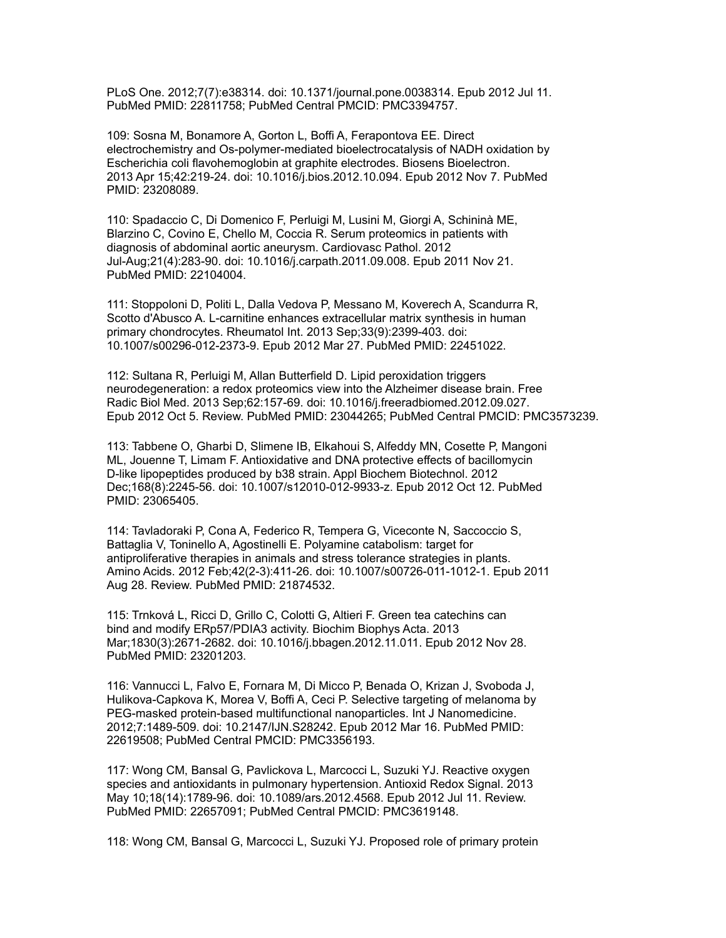PLoS One. 2012;7(7):e38314. doi: 10.1371/journal.pone.0038314. Epub 2012 Jul 11. PubMed PMID: 22811758; PubMed Central PMCID: PMC3394757.

109: Sosna M, Bonamore A, Gorton L, Boffi A, Ferapontova EE. Direct electrochemistry and Os-polymer-mediated bioelectrocatalysis of NADH oxidation by Escherichia coli flavohemoglobin at graphite electrodes. Biosens Bioelectron. 2013 Apr 15;42:219-24. doi: 10.1016/j.bios.2012.10.094. Epub 2012 Nov 7. PubMed PMID: 23208089.

110: Spadaccio C, Di Domenico F, Perluigi M, Lusini M, Giorgi A, Schininà ME, Blarzino C, Covino E, Chello M, Coccia R. Serum proteomics in patients with diagnosis of abdominal aortic aneurysm. Cardiovasc Pathol. 2012 Jul-Aug;21(4):283-90. doi: 10.1016/j.carpath.2011.09.008. Epub 2011 Nov 21. PubMed PMID: 22104004.

111: Stoppoloni D, Politi L, Dalla Vedova P, Messano M, Koverech A, Scandurra R, Scotto d'Abusco A. L-carnitine enhances extracellular matrix synthesis in human primary chondrocytes. Rheumatol Int. 2013 Sep;33(9):2399-403. doi: 10.1007/s00296-012-2373-9. Epub 2012 Mar 27. PubMed PMID: 22451022.

112: Sultana R, Perluigi M, Allan Butterfield D. Lipid peroxidation triggers neurodegeneration: a redox proteomics view into the Alzheimer disease brain. Free Radic Biol Med. 2013 Sep;62:157-69. doi: 10.1016/j.freeradbiomed.2012.09.027. Epub 2012 Oct 5. Review. PubMed PMID: 23044265; PubMed Central PMCID: PMC3573239.

113: Tabbene O, Gharbi D, Slimene IB, Elkahoui S, Alfeddy MN, Cosette P, Mangoni ML, Jouenne T, Limam F. Antioxidative and DNA protective effects of bacillomycin D-like lipopeptides produced by b38 strain. Appl Biochem Biotechnol. 2012 Dec;168(8):2245-56. doi: 10.1007/s12010-012-9933-z. Epub 2012 Oct 12. PubMed PMID: 23065405.

114: Tavladoraki P, Cona A, Federico R, Tempera G, Viceconte N, Saccoccio S, Battaglia V, Toninello A, Agostinelli E. Polyamine catabolism: target for antiproliferative therapies in animals and stress tolerance strategies in plants. Amino Acids. 2012 Feb;42(2-3):411-26. doi: 10.1007/s00726-011-1012-1. Epub 2011 Aug 28. Review. PubMed PMID: 21874532.

115: Trnková L, Ricci D, Grillo C, Colotti G, Altieri F. Green tea catechins can bind and modify ERp57/PDIA3 activity. Biochim Biophys Acta. 2013 Mar;1830(3):2671-2682. doi: 10.1016/j.bbagen.2012.11.011. Epub 2012 Nov 28. PubMed PMID: 23201203.

116: Vannucci L, Falvo E, Fornara M, Di Micco P, Benada O, Krizan J, Svoboda J, Hulikova-Capkova K, Morea V, Boffi A, Ceci P. Selective targeting of melanoma by PEG-masked protein-based multifunctional nanoparticles. Int J Nanomedicine. 2012;7:1489-509. doi: 10.2147/IJN.S28242. Epub 2012 Mar 16. PubMed PMID: 22619508; PubMed Central PMCID: PMC3356193.

117: Wong CM, Bansal G, Pavlickova L, Marcocci L, Suzuki YJ. Reactive oxygen species and antioxidants in pulmonary hypertension. Antioxid Redox Signal. 2013 May 10;18(14):1789-96. doi: 10.1089/ars.2012.4568. Epub 2012 Jul 11. Review. PubMed PMID: 22657091; PubMed Central PMCID: PMC3619148.

118: Wong CM, Bansal G, Marcocci L, Suzuki YJ. Proposed role of primary protein